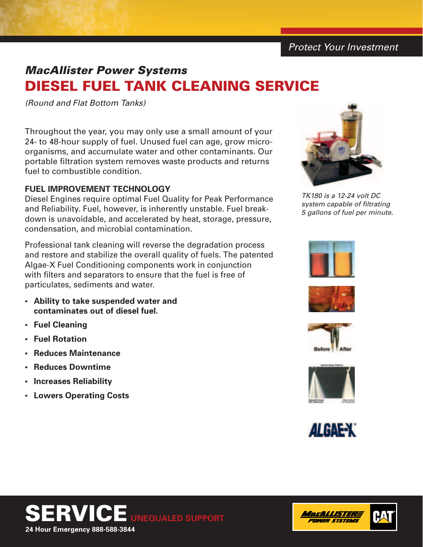*Protect Your Investment*

# *MacAllister Power Systems* Diesel Fuel Tank Cleaning Service

*(Round and Flat Bottom Tanks)*

Throughout the year, you may only use a small amount of your 24- to 48-hour supply of fuel. Unused fuel can age, grow microorganisms, and accumulate water and other contaminants. Our portable filtration system removes waste products and returns fuel to combustible condition.

# **Fuel Improvement Technology**

Diesel Engines require optimal Fuel Quality for Peak Performance and Reliability. Fuel, however, is inherently unstable. Fuel breakdown is unavoidable, and accelerated by heat, storage, pressure, condensation, and microbial contamination.

Professional tank cleaning will reverse the degradation process and restore and stabilize the overall quality of fuels. The patented Algae-X Fuel Conditioning components work in conjunction with filters and separators to ensure that the fuel is free of particulates, sediments and water.

- **• Ability to take suspended water and contaminates out of diesel fuel.**
- **• Fuel Cleaning**
- **• Fuel Rotation**
- **Reduces Maintenance**
- **Reduces Downtime**
- **• Increases Reliability**
- **Lowers Operating Costs**



*TK180 is a 12-24 volt DC system capable of filtrating 5 gallons of fuel per minute.*